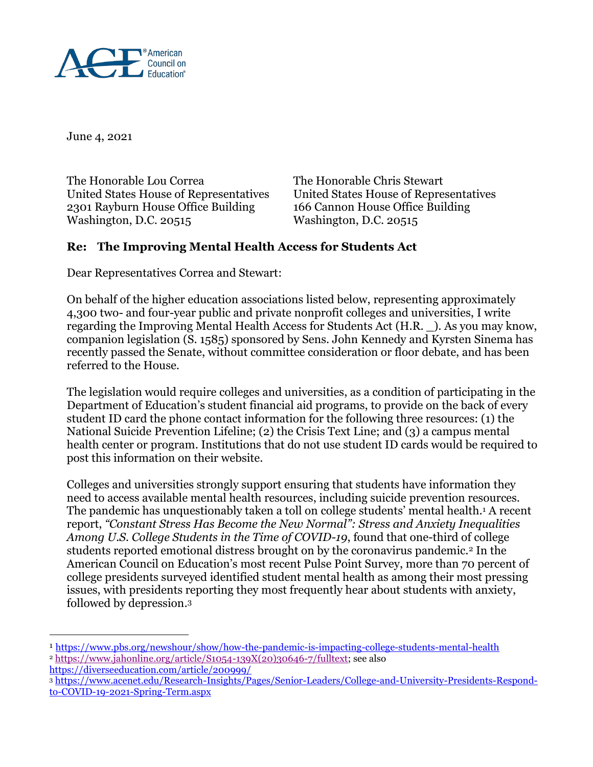

June 4, 2021

The Honorable Lou Correa The Honorable Chris Stewart United States House of Representatives United States House of Representatives 2301 Rayburn House Office Building 166 Cannon House Office Building Washington, D.C. 20515 Washington, D.C. 20515

## **Re: The Improving Mental Health Access for Students Act**

Dear Representatives Correa and Stewart:

On behalf of the higher education associations listed below, representing approximately 4,300 two- and four-year public and private nonprofit colleges and universities, I write regarding the Improving Mental Health Access for Students Act (H.R. \_). As you may know, companion legislation (S. 1585) sponsored by Sens. John Kennedy and Kyrsten Sinema has recently passed the Senate, without committee consideration or floor debate, and has been referred to the House.

The legislation would require colleges and universities, as a condition of participating in the Department of Education's student financial aid programs, to provide on the back of every student ID card the phone contact information for the following three resources: (1) the National Suicide Prevention Lifeline; (2) the Crisis Text Line; and (3) a campus mental health center or program. Institutions that do not use student ID cards would be required to post this information on their website.

Colleges and universities strongly support ensuring that students have information they need to access available mental health resources, including suicide prevention resources. The pandemic has unquestionably taken a toll on college students' mental health.<sup>1</sup> A recent report, *"Constant Stress Has Become the New Normal": Stress and Anxiety Inequalities Among U.S. College Students in the Time of COVID-19*, found that one-third of college students reported emotional distress brought on by the coronavirus pandemic.<sup>2</sup> In the American Council on Education's most recent Pulse Point Survey, more than 70 percent of college presidents surveyed identified student mental health as among their most pressing issues, with presidents reporting they most frequently hear about students with anxiety, followed by depression.<sup>3</sup>

<https://diverseeducation.com/article/200999/>

 $\overline{a}$ 

<sup>3</sup> [https://www.acenet.edu/Research-Insights/Pages/Senior-Leaders/College-and-University-Presidents-Respond](https://www.acenet.edu/Research-Insights/Pages/Senior-Leaders/College-and-University-Presidents-Respond-to-COVID-19-2021-Spring-Term.aspx)[to-COVID-19-2021-Spring-Term.aspx](https://www.acenet.edu/Research-Insights/Pages/Senior-Leaders/College-and-University-Presidents-Respond-to-COVID-19-2021-Spring-Term.aspx)

<sup>1</sup> <https://www.pbs.org/newshour/show/how-the-pandemic-is-impacting-college-students-mental-health>  $2 \text{ https://www.jahonline.org/article/S1054-139X(20)30646-7/fulltext; see also}$  $2 \text{ https://www.jahonline.org/article/S1054-139X(20)30646-7/fulltext; see also}$  $2 \text{ https://www.jahonline.org/article/S1054-139X(20)30646-7/fulltext; see also}$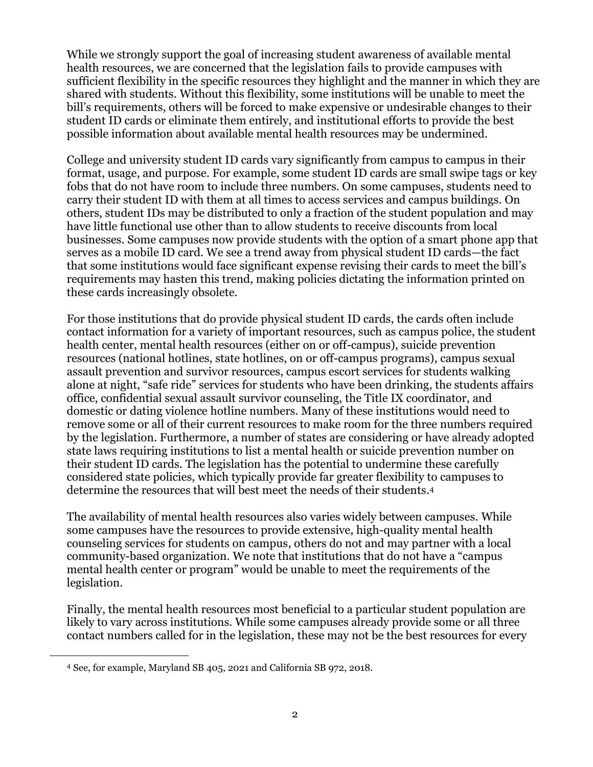While we strongly support the goal of increasing student awareness of available mental health resources, we are concerned that the legislation fails to provide campuses with sufficient flexibility in the specific resources they highlight and the manner in which they are shared with students. Without this flexibility, some institutions will be unable to meet the bill's requirements, others will be forced to make expensive or undesirable changes to their student ID cards or eliminate them entirely, and institutional efforts to provide the best possible information about available mental health resources may be undermined.

College and university student ID cards vary significantly from campus to campus in their format, usage, and purpose. For example, some student ID cards are small swipe tags or key fobs that do not have room to include three numbers. On some campuses, students need to carry their student ID with them at all times to access services and campus buildings. On others, student IDs may be distributed to only a fraction of the student population and may have little functional use other than to allow students to receive discounts from local businesses. Some campuses now provide students with the option of a smart phone app that serves as a mobile ID card. We see a trend away from physical student ID cards—the fact that some institutions would face significant expense revising their cards to meet the bill's requirements may hasten this trend, making policies dictating the information printed on these cards increasingly obsolete.

For those institutions that do provide physical student ID cards, the cards often include contact information for a variety of important resources, such as campus police, the student health center, mental health resources (either on or off-campus), suicide prevention resources (national hotlines, state hotlines, on or off-campus programs), campus sexual assault prevention and survivor resources, campus escort services for students walking alone at night, "safe ride" services for students who have been drinking, the students affairs office, confidential sexual assault survivor counseling, the Title IX coordinator, and domestic or dating violence hotline numbers. Many of these institutions would need to remove some or all of their current resources to make room for the three numbers required by the legislation. Furthermore, a number of states are considering or have already adopted state laws requiring institutions to list a mental health or suicide prevention number on their student ID cards. The legislation has the potential to undermine these carefully considered state policies, which typically provide far greater flexibility to campuses to determine the resources that will best meet the needs of their students. 4

The availability of mental health resources also varies widely between campuses. While some campuses have the resources to provide extensive, high-quality mental health counseling services for students on campus, others do not and may partner with a local community-based organization. We note that institutions that do not have a "campus mental health center or program" would be unable to meet the requirements of the legislation.

Finally, the mental health resources most beneficial to a particular student population are likely to vary across institutions. While some campuses already provide some or all three contact numbers called for in the legislation, these may not be the best resources for every

 $\overline{a}$ 

<sup>4</sup> See, for example, Maryland SB 405, 2021 and California SB 972, 2018.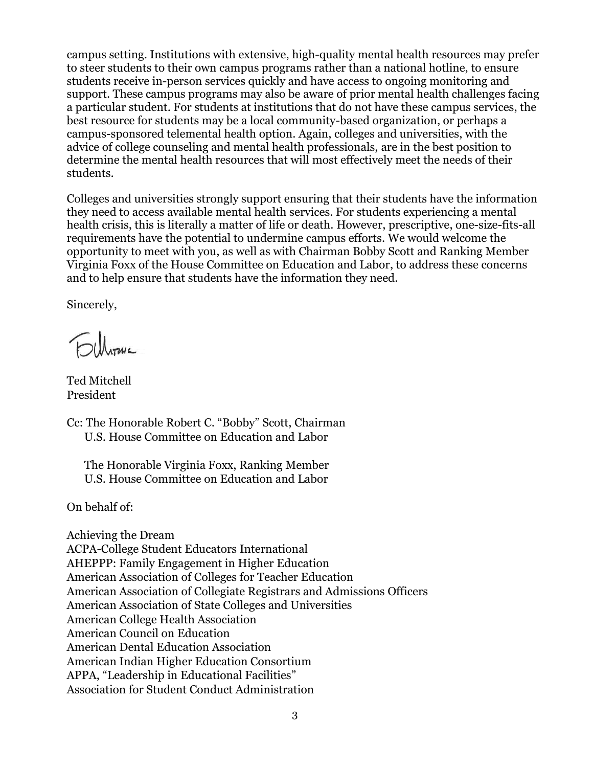campus setting. Institutions with extensive, high-quality mental health resources may prefer to steer students to their own campus programs rather than a national hotline, to ensure students receive in-person services quickly and have access to ongoing monitoring and support. These campus programs may also be aware of prior mental health challenges facing a particular student. For students at institutions that do not have these campus services, the best resource for students may be a local community-based organization, or perhaps a campus-sponsored telemental health option. Again, colleges and universities, with the advice of college counseling and mental health professionals, are in the best position to determine the mental health resources that will most effectively meet the needs of their students.

Colleges and universities strongly support ensuring that their students have the information they need to access available mental health services. For students experiencing a mental health crisis, this is literally a matter of life or death. However, prescriptive, one-size-fits-all requirements have the potential to undermine campus efforts. We would welcome the opportunity to meet with you, as well as with Chairman Bobby Scott and Ranking Member Virginia Foxx of the House Committee on Education and Labor, to address these concerns and to help ensure that students have the information they need.

Sincerely,

Filhouse

Ted Mitchell President

Cc: The Honorable Robert C. "Bobby" Scott, Chairman U.S. House Committee on Education and Labor

The Honorable Virginia Foxx, Ranking Member U.S. House Committee on Education and Labor

On behalf of:

Achieving the Dream ACPA-College Student Educators International AHEPPP: Family Engagement in Higher Education American Association of Colleges for Teacher Education American Association of Collegiate Registrars and Admissions Officers American Association of State Colleges and Universities American College Health Association American Council on Education American Dental Education Association American Indian Higher Education Consortium APPA, "Leadership in Educational Facilities" Association for Student Conduct Administration